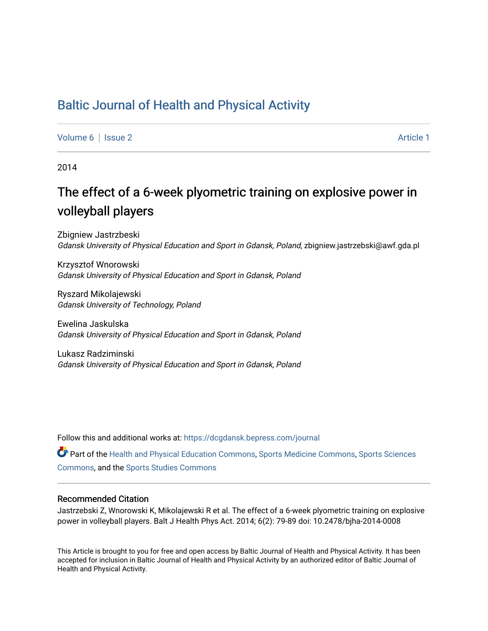# [Baltic Journal of Health and Physical Activity](https://dcgdansk.bepress.com/journal)

[Volume 6](https://dcgdansk.bepress.com/journal/vol6) | [Issue 2](https://dcgdansk.bepress.com/journal/vol6/iss2) Article 1

2014

# The effect of a 6-week plyometric training on explosive power in volleyball players

Zbigniew Jastrzbeski Gdansk University of Physical Education and Sport in Gdansk, Poland, zbigniew.jastrzebski@awf.gda.pl

Krzysztof Wnorowski Gdansk University of Physical Education and Sport in Gdansk, Poland

Ryszard Mikolajewski Gdansk University of Technology, Poland

Ewelina Jaskulska Gdansk University of Physical Education and Sport in Gdansk, Poland

Lukasz Radziminski Gdansk University of Physical Education and Sport in Gdansk, Poland

Follow this and additional works at: [https://dcgdansk.bepress.com/journal](https://dcgdansk.bepress.com/journal?utm_source=dcgdansk.bepress.com%2Fjournal%2Fvol6%2Fiss2%2F1&utm_medium=PDF&utm_campaign=PDFCoverPages)

Part of the [Health and Physical Education Commons](http://network.bepress.com/hgg/discipline/1327?utm_source=dcgdansk.bepress.com%2Fjournal%2Fvol6%2Fiss2%2F1&utm_medium=PDF&utm_campaign=PDFCoverPages), [Sports Medicine Commons,](http://network.bepress.com/hgg/discipline/1331?utm_source=dcgdansk.bepress.com%2Fjournal%2Fvol6%2Fiss2%2F1&utm_medium=PDF&utm_campaign=PDFCoverPages) [Sports Sciences](http://network.bepress.com/hgg/discipline/759?utm_source=dcgdansk.bepress.com%2Fjournal%2Fvol6%2Fiss2%2F1&utm_medium=PDF&utm_campaign=PDFCoverPages) [Commons](http://network.bepress.com/hgg/discipline/759?utm_source=dcgdansk.bepress.com%2Fjournal%2Fvol6%2Fiss2%2F1&utm_medium=PDF&utm_campaign=PDFCoverPages), and the [Sports Studies Commons](http://network.bepress.com/hgg/discipline/1198?utm_source=dcgdansk.bepress.com%2Fjournal%2Fvol6%2Fiss2%2F1&utm_medium=PDF&utm_campaign=PDFCoverPages) 

#### Recommended Citation

Jastrzebski Z, Wnorowski K, Mikolajewski R et al. The effect of a 6-week plyometric training on explosive power in volleyball players. Balt J Health Phys Act. 2014; 6(2): 79-89 doi: 10.2478/bjha-2014-0008

This Article is brought to you for free and open access by Baltic Journal of Health and Physical Activity. It has been accepted for inclusion in Baltic Journal of Health and Physical Activity by an authorized editor of Baltic Journal of Health and Physical Activity.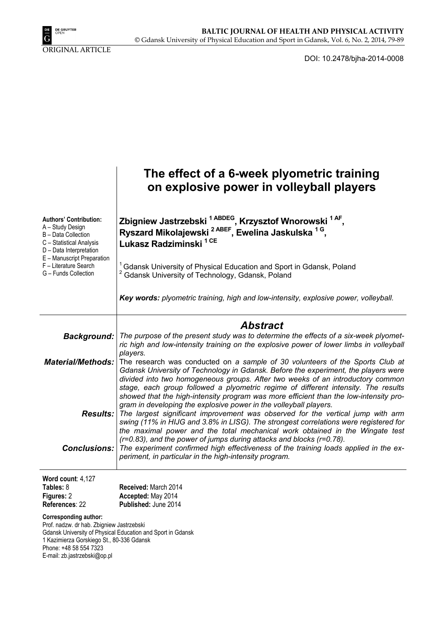

ORIGINAL ARTICLE

DOI: 10.2478/bjha-2014-0008

|                                                                                                                                                                                  | The effect of a 6-week plyometric training<br>on explosive power in volleyball players                                                                                                                                                                                                                                                                                                                                                                                                                                                                                                                                                                                                                                                                                                                                                              |
|----------------------------------------------------------------------------------------------------------------------------------------------------------------------------------|-----------------------------------------------------------------------------------------------------------------------------------------------------------------------------------------------------------------------------------------------------------------------------------------------------------------------------------------------------------------------------------------------------------------------------------------------------------------------------------------------------------------------------------------------------------------------------------------------------------------------------------------------------------------------------------------------------------------------------------------------------------------------------------------------------------------------------------------------------|
| <b>Authors' Contribution:</b><br>A - Study Design<br>B - Data Collection<br>C - Statistical Analysis<br>D - Data Interpretation                                                  | Zbigniew Jastrzebski <sup>1 ABDEG</sup> , Krzysztof Wnorowski <sup>1 AF</sup> ,<br>Ryszard Mikolajewski <sup>2 ABEF</sup> , Ewelina Jaskulska <sup>1 G</sup> ,<br>Lukasz Radziminski <sup>1 CE</sup>                                                                                                                                                                                                                                                                                                                                                                                                                                                                                                                                                                                                                                                |
| E - Manuscript Preparation<br>F - Literature Search<br>G - Funds Collection                                                                                                      | <sup>1</sup> Gdansk University of Physical Education and Sport in Gdansk, Poland<br>Gdansk University of Technology, Gdansk, Poland                                                                                                                                                                                                                                                                                                                                                                                                                                                                                                                                                                                                                                                                                                                 |
|                                                                                                                                                                                  | Key words: plyometric training, high and low-intensity, explosive power, volleyball.                                                                                                                                                                                                                                                                                                                                                                                                                                                                                                                                                                                                                                                                                                                                                                |
| <b>Background:</b><br><b>Material/Methods:</b>                                                                                                                                   | <b>Abstract</b><br>The purpose of the present study was to determine the effects of a six-week plyomet-<br>ric high and low-intensity training on the explosive power of lower limbs in volleyball<br>players.<br>The research was conducted on a sample of 30 volunteers of the Sports Club at                                                                                                                                                                                                                                                                                                                                                                                                                                                                                                                                                     |
| Results:<br><b>Conclusions:</b>                                                                                                                                                  | Gdansk University of Technology in Gdansk. Before the experiment, the players were<br>divided into two homogeneous groups. After two weeks of an introductory common<br>stage, each group followed a plyometric regime of different intensity. The results<br>showed that the high-intensity program was more efficient than the low-intensity pro-<br>gram in developing the explosive power in the volleyball players.<br>The largest significant improvement was observed for the vertical jump with arm<br>swing (11% in HIJG and 3.8% in LISG). The strongest correlations were registered for<br>the maximal power and the total mechanical work obtained in the Wingate test<br>(r=0.83), and the power of jumps during attacks and blocks (r=0.78).<br>The experiment confirmed high effectiveness of the training loads applied in the ex- |
|                                                                                                                                                                                  | periment, in particular in the high-intensity program.                                                                                                                                                                                                                                                                                                                                                                                                                                                                                                                                                                                                                                                                                                                                                                                              |
| Word count: 4,127<br>Tables: 8<br>Figures: 2<br>References: 22                                                                                                                   | Received: March 2014<br>Accepted: May 2014<br>Published: June 2014                                                                                                                                                                                                                                                                                                                                                                                                                                                                                                                                                                                                                                                                                                                                                                                  |
| <b>Corresponding author:</b><br>Prof. nadzw. dr hab. Zbigniew Jastrzebski<br>1 Kazimierza Gorskiego St., 80-336 Gdansk<br>Phone: +48 58 554 7323<br>E-mail: zb.jastrzebski@op.pl | Gdansk University of Physical Education and Sport in Gdansk                                                                                                                                                                                                                                                                                                                                                                                                                                                                                                                                                                                                                                                                                                                                                                                         |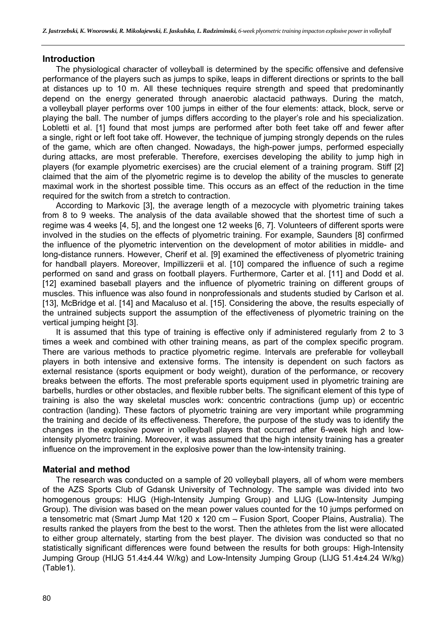### **Introduction**

The physiological character of volleyball is determined by the specific offensive and defensive performance of the players such as jumps to spike, leaps in different directions or sprints to the ball at distances up to 10 m. All these techniques require strength and speed that predominantly depend on the energy generated through anaerobic alactacid pathways. During the match, a volleyball player performs over 100 jumps in either of the four elements: attack, block, serve or playing the ball. The number of jumps differs according to the player's role and his specialization. Lobletti et al. [1] found that most jumps are performed after both feet take off and fewer after a single, right or left foot take off. However, the technique of jumping strongly depends on the rules of the game, which are often changed. Nowadays, the high-power jumps, performed especially during attacks, are most preferable. Therefore, exercises developing the ability to jump high in players (for example plyometric exercises) are the crucial element of a training program. Stiff [2] claimed that the aim of the plyometric regime is to develop the ability of the muscles to generate maximal work in the shortest possible time. This occurs as an effect of the reduction in the time required for the switch from a stretch to contraction.

According to Markovic [3], the average length of a mezocycle with plyometric training takes from 8 to 9 weeks. The analysis of the data available showed that the shortest time of such a regime was 4 weeks [4, 5], and the longest one 12 weeks [6, 7]. Volunteers of different sports were involved in the studies on the effects of plyometric training. For example, Saunders [8] confirmed the influence of the plyometric intervention on the development of motor abilities in middle- and long-distance runners. However, Cherif et al. [9] examined the effectiveness of plyometric training for handball players. Moreover, Impillizzerii et al. [10] compared the influence of such a regime performed on sand and grass on football players. Furthermore, Carter et al. [11] and Dodd et al. [12] examined baseball players and the influence of plyometric training on different groups of muscles. This influence was also found in nonprofessionals and students studied by Carlson et al. [13], McBridge et al. [14] and Macaluso et al. [15]. Considering the above, the results especially of the untrained subjects support the assumption of the effectiveness of plyometric training on the vertical jumping height [3].

It is assumed that this type of training is effective only if administered regularly from 2 to 3 times a week and combined with other training means, as part of the complex specific program. There are various methods to practice plyometric regime. Intervals are preferable for volleyball players in both intensive and extensive forms. The intensity is dependent on such factors as external resistance (sports equipment or body weight), duration of the performance, or recovery breaks between the efforts. The most preferable sports equipment used in plyometric training are barbells, hurdles or other obstacles, and flexible rubber belts. The significant element of this type of training is also the way skeletal muscles work: concentric contractions (jump up) or eccentric contraction (landing). These factors of plyometric training are very important while programming the training and decide of its effectiveness. Therefore, the purpose of the study was to identify the changes in the explosive power in volleyball players that occurred after 6-week high and lowintensity plyometrc training. Moreover, it was assumed that the high intensity training has a greater influence on the improvement in the explosive power than the low-intensity training.

### **Material and method**

The research was conducted on a sample of 20 volleyball players, all of whom were members of the AZS Sports Club of Gdansk University of Technology. The sample was divided into two homogenous groups: HIJG (High-Intensity Jumping Group) and LIJG (Low-Intensity Jumping Group). The division was based on the mean power values counted for the 10 jumps performed on a tensometric mat (Smart Jump Mat 120 x 120 cm – Fusion Sport, Cooper Plains, Australia). The results ranked the players from the best to the worst. Then the athletes from the list were allocated to either group alternately, starting from the best player. The division was conducted so that no statistically significant differences were found between the results for both groups: High-Intensity Jumping Group (HIJG 51.4±4.44 W/kg) and Low-Intensity Jumping Group (LIJG 51.4±4.24 W/kg) (Table1).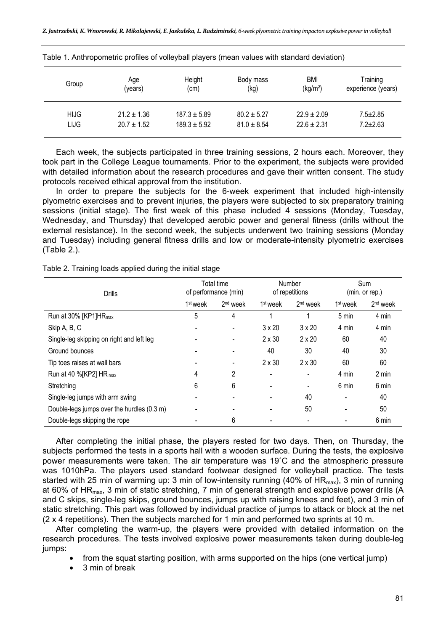| Group       | Age             | Height           | Body mass       | BMI                  | Training           |
|-------------|-----------------|------------------|-----------------|----------------------|--------------------|
|             | (years)         | (cm)             | (kg)            | (kg/m <sup>2</sup> ) | experience (years) |
| <b>HIJG</b> | $21.2 \pm 1.36$ | $187.3 \pm 5.89$ | $80.2 \pm 5.27$ | $22.9 \pm 2.09$      | $7.5 \pm 2.85$     |
| <b>LIJG</b> | $20.7 \pm 1.52$ | $189.3 \pm 5.92$ | $81.0 \pm 8.54$ | $22.6 \pm 2.31$      | $7.2 \pm 2.63$     |

Table 1. Anthropometric profiles of volleyball players (mean values with standard deviation)

Each week, the subjects participated in three training sessions, 2 hours each. Moreover, they took part in the College League tournaments. Prior to the experiment, the subjects were provided with detailed information about the research procedures and gave their written consent. The study protocols received ethical approval from the institution.

In order to prepare the subjects for the 6-week experiment that included high-intensity plyometric exercises and to prevent injuries, the players were subjected to six preparatory training sessions (initial stage). The first week of this phase included 4 sessions (Monday, Tuesday, Wednesday, and Thursday) that developed aerobic power and general fitness (drills without the external resistance). In the second week, the subjects underwent two training sessions (Monday and Tuesday) including general fitness drills and low or moderate-intensity plyometric exercises (Table 2.).

Table 2. Training loads applied during the initial stage

| <b>Drills</b>                              | Total time<br>of performance (min) |                          | Number<br>of repetitions |                      | Sum<br>(min. or rep.) |                      |
|--------------------------------------------|------------------------------------|--------------------------|--------------------------|----------------------|-----------------------|----------------------|
|                                            | 1 <sup>st</sup> week               | $2nd$ week               | 1 <sup>st</sup> week     | 2 <sup>nd</sup> week | 1 <sup>st</sup> week  | 2 <sup>nd</sup> week |
| Run at 30% [KP1]HR <sub>max</sub>          | 5                                  | 4                        |                          |                      | 5 min                 | 4 min                |
| Skip A, B, C                               |                                    | $\overline{\phantom{0}}$ | $3 \times 20$            | $3 \times 20$        | 4 min                 | 4 min                |
| Single-leg skipping on right and left leg  |                                    | $\overline{\phantom{0}}$ | $2 \times 30$            | $2 \times 20$        | 60                    | 40                   |
| Ground bounces                             |                                    |                          | 40                       | 30                   | 40                    | 30                   |
| Tip toes raises at wall bars               |                                    |                          | $2 \times 30$            | $2 \times 30$        | 60                    | 60                   |
| Run at 40 %[KP2] HR max                    | 4                                  | 2                        |                          |                      | 4 min                 | 2 min                |
| Stretching                                 | 6                                  | 6                        |                          |                      | 6 min                 | 6 min                |
| Single-leg jumps with arm swing            |                                    |                          |                          | 40                   |                       | 40                   |
| Double-legs jumps over the hurdles (0.3 m) |                                    |                          |                          | 50                   |                       | 50                   |
| Double-legs skipping the rope              |                                    | 6                        |                          |                      |                       | 6 min                |

After completing the initial phase, the players rested for two days. Then, on Thursday, the subjects performed the tests in a sports hall with a wooden surface. During the tests, the explosive power measurements were taken. The air temperature was 19˚C and the atmospheric pressure was 1010hPa. The players used standard footwear designed for volleyball practice. The tests started with 25 min of warming up: 3 min of low-intensity running (40% of  $HR_{max}$ ), 3 min of running at 60% of HR<sub>max</sub>, 3 min of static stretching, 7 min of general strength and explosive power drills (A and C skips, single-leg skips, ground bounces, jumps up with raising knees and feet), and 3 min of static stretching. This part was followed by individual practice of jumps to attack or block at the net (2 x 4 repetitions). Then the subjects marched for 1 min and performed two sprints at 10 m.

After completing the warm-up, the players were provided with detailed information on the research procedures. The tests involved explosive power measurements taken during double-leg jumps:

- from the squat starting position, with arms supported on the hips (one vertical jump)
- 3 min of break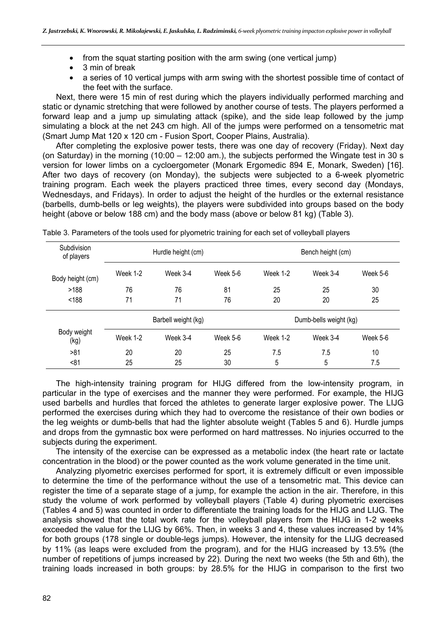- from the squat starting position with the arm swing (one vertical jump)
- 3 min of break
- a series of 10 vertical jumps with arm swing with the shortest possible time of contact of the feet with the surface.

Next, there were 15 min of rest during which the players individually performed marching and static or dynamic stretching that were followed by another course of tests. The players performed a forward leap and a jump up simulating attack (spike), and the side leap followed by the jump simulating a block at the net 243 cm high. All of the jumps were performed on a tensometric mat (Smart Jump Mat 120 x 120 cm - Fusion Sport, Cooper Plains, Australia).

After completing the explosive power tests, there was one day of recovery (Friday). Next day (on Saturday) in the morning (10:00 – 12:00 am.), the subjects performed the Wingate test in 30 s version for lower limbs on a cycloergometer (Monark Ergomedic 894 E, Monark, Sweden) [16]. After two days of recovery (on Monday), the subjects were subjected to a 6-week plyometric training program. Each week the players practiced three times, every second day (Mondays, Wednesdays, and Fridays). In order to adjust the height of the hurdles or the external resistance (barbells, dumb-bells or leg weights), the players were subdivided into groups based on the body height (above or below 188 cm) and the body mass (above or below 81 kg) (Table 3).

| Subdivision<br>of players |          | Hurdle height (cm)  |          | Bench height (cm)      |          |          |  |
|---------------------------|----------|---------------------|----------|------------------------|----------|----------|--|
| Body height (cm)          | Week 1-2 | Week 3-4            | Week 5-6 | Week 1-2               | Week 3-4 | Week 5-6 |  |
| >188                      | 76       | 76                  | 81       | 25                     | 25       | 30       |  |
| < 188                     | 71       | 71                  | 76       | 20                     | 20       | 25       |  |
|                           |          | Barbell weight (kg) |          | Dumb-bells weight (kg) |          |          |  |
| Body weight<br>(kg)       | Week 1-2 | Week 3-4            | Week 5-6 | Week 1-2               | Week 3-4 | Week 5-6 |  |
| >81                       | 20       | 20                  | 25       | 7.5                    | 7.5      | 10       |  |
| < 81                      | 25       | 25                  | 30       | 5                      | 5        | 7.5      |  |

Table 3. Parameters of the tools used for plyometric training for each set of volleyball players

The high-intensity training program for HIJG differed from the low-intensity program, in particular in the type of exercises and the manner they were performed. For example, the HIJG used barbells and hurdles that forced the athletes to generate larger explosive power. The LIJG performed the exercises during which they had to overcome the resistance of their own bodies or the leg weights or dumb-bells that had the lighter absolute weight (Tables 5 and 6). Hurdle jumps and drops from the gymnastic box were performed on hard mattresses. No injuries occurred to the subjects during the experiment.

The intensity of the exercise can be expressed as a metabolic index (the heart rate or lactate concentration in the blood) or the power counted as the work volume generated in the time unit.

Analyzing plyometric exercises performed for sport, it is extremely difficult or even impossible to determine the time of the performance without the use of a tensometric mat. This device can register the time of a separate stage of a jump, for example the action in the air. Therefore, in this study the volume of work performed by volleyball players (Table 4) during plyometric exercises (Tables 4 and 5) was counted in order to differentiate the training loads for the HIJG and LIJG. The analysis showed that the total work rate for the volleyball players from the HIJG in 1-2 weeks exceeded the value for the LIJG by 66%. Then, in weeks 3 and 4, these values increased by 14% for both groups (178 single or double-legs jumps). However, the intensity for the LIJG decreased by 11% (as leaps were excluded from the program), and for the HIJG increased by 13.5% (the number of repetitions of jumps increased by 22). During the next two weeks (the 5th and 6th), the training loads increased in both groups: by 28.5% for the HIJG in comparison to the first two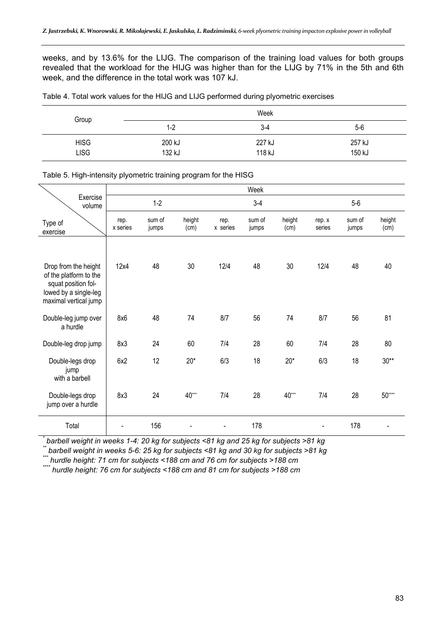weeks, and by 13.6% for the LIJG. The comparison of the training load values for both groups revealed that the workload for the HIJG was higher than for the LIJG by 71% in the 5th and 6th week, and the difference in the total work was 107 kJ.

|  |  |  | Table 4. Total work values for the HIJG and LIJG performed during plyometric exercises |
|--|--|--|----------------------------------------------------------------------------------------|
|  |  |  |                                                                                        |

| Group       |         | Week   |        |
|-------------|---------|--------|--------|
|             | $1 - 2$ | $3-4$  | $5-6$  |
| <b>HISG</b> | 200 kJ  | 227 kJ | 257 kJ |
| <b>LISG</b> | 132 kJ  | 118 kJ | 150 kJ |

Table 5. High-intensity plyometric training program for the HISG

|                                                                                                 |                  |                 |                |                  | Week            |                |                  |                 |                |
|-------------------------------------------------------------------------------------------------|------------------|-----------------|----------------|------------------|-----------------|----------------|------------------|-----------------|----------------|
| Exercise<br>volume                                                                              |                  | $1-2$           |                |                  | $3-4$           |                |                  | $5-6$           |                |
| Type of<br>exercise                                                                             | rep.<br>x series | sum of<br>jumps | height<br>(cm) | rep.<br>x series | sum of<br>jumps | height<br>(cm) | rep. x<br>series | sum of<br>jumps | height<br>(cm) |
| Drop from the height                                                                            | 12x4             | 48              | 30             | 12/4             | 48              | 30             | 12/4             | 48              | 40             |
| of the platform to the<br>squat position fol-<br>lowed by a single-leg<br>maximal vertical jump |                  |                 |                |                  |                 |                |                  |                 |                |
| Double-leg jump over<br>a hurdle                                                                | 8x6              | 48              | 74             | 8/7              | 56              | 74             | 8/7              | 56              | 81             |
| Double-leg drop jump                                                                            | 8x3              | 24              | 60             | 7/4              | 28              | 60             | 7/4              | 28              | 80             |
| Double-legs drop<br>jump<br>with a barbell                                                      | 6x2              | 12              | $20*$          | 6/3              | 18              | $20*$          | 6/3              | 18              | $30**$         |
| Double-legs drop<br>jump over a hurdle                                                          | 8x3              | 24              | $40***$        | 7/4              | 28              | $40***$        | 7/4              | 28              | $50***$        |
| Total                                                                                           |                  | 156             |                |                  | 178             |                |                  | 178             |                |

*\* barbell weight in weeks 1-4: 20 kg for subjects <81 kg and 25 kg for subjects >81 kg* 

*\*\* barbell weight in weeks 5-6: 25 kg for subjects <81 kg and 30 kg for subjects >81 kg* 

*\*\*\* hurdle height: 71 cm for subjects <188 cm and 76 cm for subjects >188 cm* 

*\*\*\*\* hurdle height: 76 cm for subjects <188 cm and 81 cm for subjects >188 cm*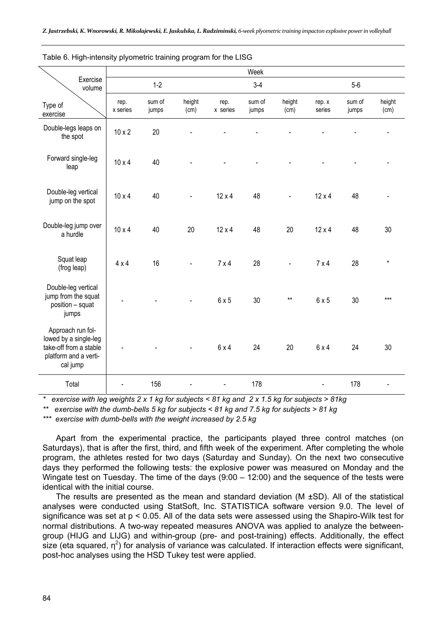|                                                                                                           |                  |                 |                |                  | Week            |                |                  |                 |                |
|-----------------------------------------------------------------------------------------------------------|------------------|-----------------|----------------|------------------|-----------------|----------------|------------------|-----------------|----------------|
| Exercise<br>volume                                                                                        |                  | $1-2$           |                |                  | $3-4$           |                |                  | $5-6$           |                |
| Type of<br>exercise                                                                                       | rep.<br>x series | sum of<br>jumps | height<br>(cm) | rep.<br>x series | sum of<br>jumps | height<br>(cm) | rep. x<br>series | sum of<br>jumps | height<br>(cm) |
| Double-legs leaps on<br>the spot                                                                          | $10 \times 2$    | 20              |                |                  |                 |                |                  |                 |                |
| Forward single-leg<br>leap                                                                                | $10 \times 4$    | 40              |                |                  |                 |                |                  |                 |                |
| Double-leg vertical<br>jump on the spot                                                                   | $10 \times 4$    | 40              | $\blacksquare$ | $12 \times 4$    | 48              | $\blacksquare$ | $12 \times 4$    | 48              |                |
| Double-leg jump over<br>a hurdle                                                                          | $10 \times 4$    | 40              | 20             | $12 \times 4$    | 48              | 20             | $12 \times 4$    | 48              | 30             |
| Squat leap<br>(frog leap)                                                                                 | $4 \times 4$     | 16              |                | 7x4              | 28              |                | $7 \times 4$     | 28              | $\star$        |
| Double-leg vertical<br>jump from the squat<br>position - squat<br>jumps                                   |                  |                 | $\blacksquare$ | 6x5              | 30              | $***$          | 6x5              | 30              | $***$          |
| Approach run fol-<br>lowed by a single-leg<br>take-off from a stable<br>platform and a verti-<br>cal jump |                  |                 |                | 6x4              | 24              | 20             | 6x4              | 24              | 30             |
| Total                                                                                                     |                  | 156             |                |                  | 178             |                |                  | 178             |                |

Table 6. High-intensity plyometric training program for the LISG

*\* exercise with leg weights 2 x 1 kg for subjects < 81 kg and 2 x 1.5 kg for subjects > 81kg* 

*\*\* exercise with the dumb-bells 5 kg for subjects < 81 kg and 7.5 kg for subjects > 81 kg* 

*\*\*\* exercise with dumb-bells with the weight increased by 2.5 kg* 

Apart from the experimental practice, the participants played three control matches (on Saturdays), that is after the first, third, and fifth week of the experiment. After completing the whole program, the athletes rested for two days (Saturday and Sunday). On the next two consecutive days they performed the following tests: the explosive power was measured on Monday and the Wingate test on Tuesday. The time of the days (9:00 – 12:00) and the sequence of the tests were identical with the initial course.

The results are presented as the mean and standard deviation ( $M \pm SD$ ). All of the statistical analyses were conducted using StatSoft, Inc. STATISTICA software version 9.0. The level of significance was set at p < 0.05. All of the data sets were assessed using the Shapiro-Wilk test for normal distributions. A two-way repeated measures ANOVA was applied to analyze the betweengroup (HIJG and LIJG) and within-group (pre- and post-training) effects. Additionally, the effect size (eta squared,  $\eta^2$ ) for analysis of variance was calculated. If interaction effects were significant, post-hoc analyses using the HSD Tukey test were applied.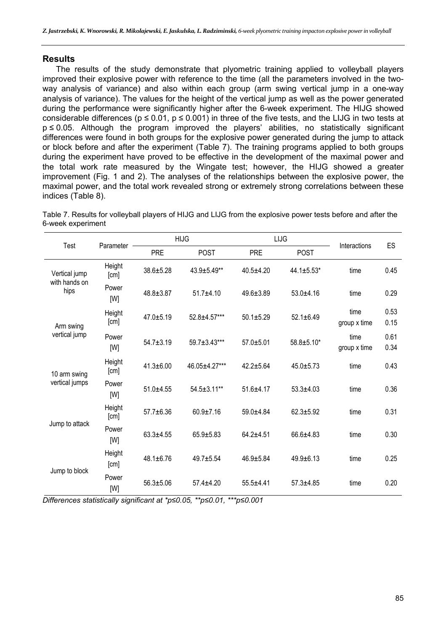# **Results**

The results of the study demonstrate that plyometric training applied to volleyball players improved their explosive power with reference to the time (all the parameters involved in the twoway analysis of variance) and also within each group (arm swing vertical jump in a one-way analysis of variance). The values for the height of the vertical jump as well as the power generated during the performance were significantly higher after the 6-week experiment. The HIJG showed considerable differences ( $p \le 0.01$ ,  $p \le 0.001$ ) in three of the five tests, and the LIJG in two tests at p ≤ 0.05. Although the program improved the players' abilities, no statistically significant differences were found in both groups for the explosive power generated during the jump to attack or block before and after the experiment (Table 7). The training programs applied to both groups during the experiment have proved to be effective in the development of the maximal power and the total work rate measured by the Wingate test; however, the HIJG showed a greater improvement (Fig. 1 and 2). The analyses of the relationships between the explosive power, the maximal power, and the total work revealed strong or extremely strong correlations between these indices (Table 8).

Table 7. Results for volleyball players of HIJG and LIJG from the explosive power tests before and after the 6-week experiment

| Test<br>Parameter     |                |                 | <b>HIJG</b>   |                 | LIJG            | Interactions         | ES           |
|-----------------------|----------------|-----------------|---------------|-----------------|-----------------|----------------------|--------------|
|                       |                | <b>PRE</b>      | <b>POST</b>   | <b>PRE</b>      | <b>POST</b>     |                      |              |
| Vertical jump         | Height<br>[cm] | 38.6±5.28       | 43.9±5.49**   | $40.5 + 4.20$   | 44.1±5.53*      | time                 | 0.45         |
| with hands on<br>hips | Power<br>[W]   | $48.8 \pm 3.87$ | $51.7 + 4.10$ | $49.6 \pm 3.89$ | $53.0 + 4.16$   | time                 | 0.29         |
| Arm swing             | Height<br>[cm] | 47.0±5.19       | 52.8±4.57***  | $50.1 + 5.29$   | $52.1 \pm 6.49$ | time<br>group x time | 0.53<br>0.15 |
| vertical jump         | Power<br>[W]   | $54.7 + 3.19$   | 59.7±3.43***  | $57.0 + 5.01$   | 58.8±5.10*      | time<br>group x time | 0.61<br>0.34 |
| 10 arm swing          | Height<br>[cm] | $41.3 \pm 6.00$ | 46.05±4.27*** | $42.2 + 5.64$   | $45.0 + 5.73$   | time                 | 0.43         |
| vertical jumps        | Power<br>[W]   | $51.0 + 4.55$   | 54.5±3.11**   | $51.6 + 4.17$   | $53.3 + 4.03$   | time                 | 0.36         |
| Jump to attack        | Height<br>[cm] | $57.7 \pm 6.36$ | $60.9 + 7.16$ | $59.0 + 4.84$   | $62.3 + 5.92$   | time                 | 0.31         |
|                       | Power<br>[W]   | $63.3 + 4.55$   | 65.9±5.83     | $64.2 + 4.51$   | $66.6 + 4.83$   | time                 | 0.30         |
| Jump to block         | Height<br>[cm] | $48.1 \pm 6.76$ | $49.7 + 5.54$ | $46.9 + 5.84$   | $49.9 + 6.13$   | time                 | 0.25         |
|                       | Power<br>[W]   | $56.3 \pm 5.06$ | $57.4 + 4.20$ | $55.5 + 4.41$   | $57.3 + 4.85$   | time                 | 0.20         |

*Differences statistically significant at \*p≤0.05, \*\*p≤0.01, \*\*\*p≤0.001*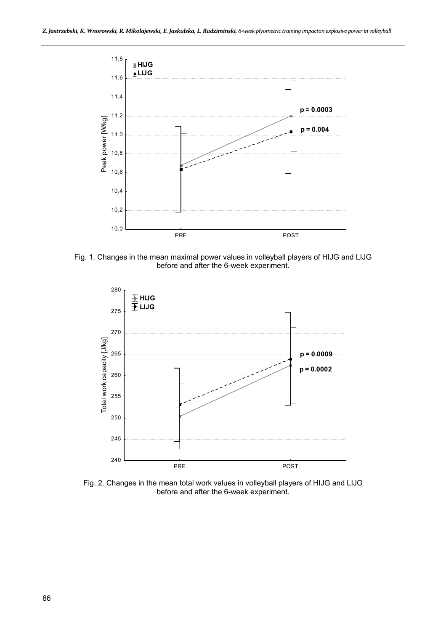

Fig. 1. Changes in the mean maximal power values in volleyball players of HIJG and LIJG before and after the 6-week experiment.



Fig. 2. Changes in the mean total work values in volleyball players of HIJG and LIJG before and after the 6-week experiment.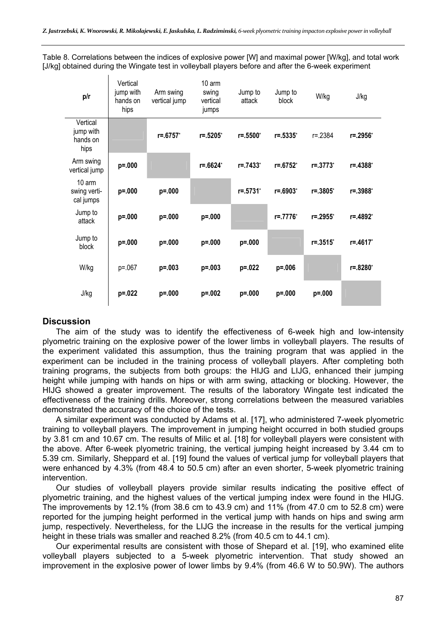Table 8. Correlations between the indices of explosive power [W] and maximal power [W/kg], and total work [J/kg] obtained during the Wingate test in volleyball players before and after the 6-week experiment

| p/r                                       | Vertical<br>jump with<br>hands on<br>hips | Arm swing<br>vertical jump | 10 arm<br>swing<br>vertical<br>jumps | Jump to<br>attack   | Jump to<br>block | W/kg         | J/kg     |
|-------------------------------------------|-------------------------------------------|----------------------------|--------------------------------------|---------------------|------------------|--------------|----------|
| Vertical<br>jump with<br>hands on<br>hips |                                           | r=.6757*                   | $r = .5205$ *                        | $r = .5500^{\circ}$ | $r = .5335$ *    | $r = 2384$   | r=.2956* |
| Arm swing<br>vertical jump                | p=.000                                    |                            | $r = .6624^*$                        | $r = 7433^*$        | $r = 6752^*$     | $r = 0.3773$ | r=.4388* |
| 10 arm<br>swing verti-<br>cal jumps       | p=.000                                    | $p = 000$                  |                                      | $r = 0.5731$        | $r = .6903^*$    | $r = 0.3805$ | r=.3988* |
| Jump to<br>attack                         | p=.000                                    | $p = 000$                  | $p = 0.000$                          |                     | r=.7776*         | r=.2955*     | r=.4892* |
| Jump to<br>block                          | p=.000                                    | $p = 000$                  | $p = 0.000$                          | p=.000              |                  | $r = 0.3515$ | r=.4617* |
| W/kg                                      | $p = 0.067$                               | $p = 0.003$                | $p = 0.003$                          | p=.022              | $p = 0.006$      |              | r=.8280* |
| J/kg                                      | $p = 0.022$                               | $p = 000$                  | $p = 0.002$                          | $p = 000$           | $p = 000$        | $p = 000$    |          |

# **Discussion**

 $\mathbf{I}$ 

The aim of the study was to identify the effectiveness of 6-week high and low-intensity plyometric training on the explosive power of the lower limbs in volleyball players. The results of the experiment validated this assumption, thus the training program that was applied in the experiment can be included in the training process of volleyball players. After completing both training programs, the subjects from both groups: the HIJG and LIJG, enhanced their jumping height while jumping with hands on hips or with arm swing, attacking or blocking. However, the HIJG showed a greater improvement. The results of the laboratory Wingate test indicated the effectiveness of the training drills. Moreover, strong correlations between the measured variables demonstrated the accuracy of the choice of the tests.

A similar experiment was conducted by Adams et al. [17], who administered 7-week plyometric training to volleyball players. The improvement in jumping height occurred in both studied groups by 3.81 cm and 10.67 cm. The results of Milic et al. [18] for volleyball players were consistent with the above. After 6-week plyometric training, the vertical jumping height increased by 3.44 cm to 5.39 cm. Similarly, Sheppard et al. [19] found the values of vertical jump for volleyball players that were enhanced by 4.3% (from 48.4 to 50.5 cm) after an even shorter, 5-week plyometric training intervention.

Our studies of volleyball players provide similar results indicating the positive effect of plyometric training, and the highest values of the vertical jumping index were found in the HIJG. The improvements by 12.1% (from 38.6 cm to 43.9 cm) and 11% (from 47.0 cm to 52.8 cm) were reported for the jumping height performed in the vertical jump with hands on hips and swing arm jump, respectively. Nevertheless, for the LIJG the increase in the results for the vertical jumping height in these trials was smaller and reached 8.2% (from 40.5 cm to 44.1 cm).

Our experimental results are consistent with those of Shepard et al. [19], who examined elite volleyball players subjected to a 5-week plyometric intervention. That study showed an improvement in the explosive power of lower limbs by 9.4% (from 46.6 W to 50.9W). The authors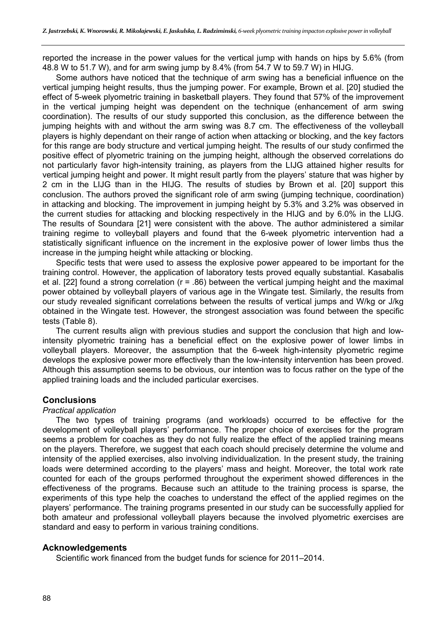reported the increase in the power values for the vertical jump with hands on hips by 5.6% (from 48.8 W to 51.7 W), and for arm swing jump by 8.4% (from 54.7 W to 59.7 W) in HIJG.

Some authors have noticed that the technique of arm swing has a beneficial influence on the vertical jumping height results, thus the jumping power. For example, Brown et al. [20] studied the effect of 5-week plyometric training in basketball players. They found that 57% of the improvement in the vertical jumping height was dependent on the technique (enhancement of arm swing coordination). The results of our study supported this conclusion, as the difference between the jumping heights with and without the arm swing was 8.7 cm. The effectiveness of the volleyball players is highly dependant on their range of action when attacking or blocking, and the key factors for this range are body structure and vertical jumping height. The results of our study confirmed the positive effect of plyometric training on the jumping height, although the observed correlations do not particularly favor high-intensity training, as players from the LIJG attained higher results for vertical jumping height and power. It might result partly from the players' stature that was higher by 2 cm in the LIJG than in the HIJG. The results of studies by Brown et al. [20] support this conclusion. The authors proved the significant role of arm swing (jumping technique, coordination) in attacking and blocking. The improvement in jumping height by 5.3% and 3.2% was observed in the current studies for attacking and blocking respectively in the HIJG and by 6.0% in the LIJG. The results of Soundara [21] were consistent with the above. The author administered a similar training regime to volleyball players and found that the 6-week plyometric intervention had a statistically significant influence on the increment in the explosive power of lower limbs thus the increase in the jumping height while attacking or blocking.

Specific tests that were used to assess the explosive power appeared to be important for the training control. However, the application of laboratory tests proved equally substantial. Kasabalis et al. [22] found a strong correlation (r = .86) between the vertical jumping height and the maximal power obtained by volleyball players of various age in the Wingate test. Similarly, the results from our study revealed significant correlations between the results of vertical jumps and W/kg or J/kg obtained in the Wingate test. However, the strongest association was found between the specific tests (Table 8).

The current results align with previous studies and support the conclusion that high and lowintensity plyometric training has a beneficial effect on the explosive power of lower limbs in volleyball players. Moreover, the assumption that the 6-week high-intensity plyometric regime develops the explosive power more effectively than the low-intensity intervention has been proved. Although this assumption seems to be obvious, our intention was to focus rather on the type of the applied training loads and the included particular exercises.

# **Conclusions**

### *Practical application*

The two types of training programs (and workloads) occurred to be effective for the development of volleyball players' performance. The proper choice of exercises for the program seems a problem for coaches as they do not fully realize the effect of the applied training means on the players. Therefore, we suggest that each coach should precisely determine the volume and intensity of the applied exercises, also involving individualization. In the present study, the training loads were determined according to the players' mass and height. Moreover, the total work rate counted for each of the groups performed throughout the experiment showed differences in the effectiveness of the programs. Because such an attitude to the training process is sparse, the experiments of this type help the coaches to understand the effect of the applied regimes on the players' performance. The training programs presented in our study can be successfully applied for both amateur and professional volleyball players because the involved plyometric exercises are standard and easy to perform in various training conditions.

### **Acknowledgements**

Scientific work financed from the budget funds for science for 2011–2014.